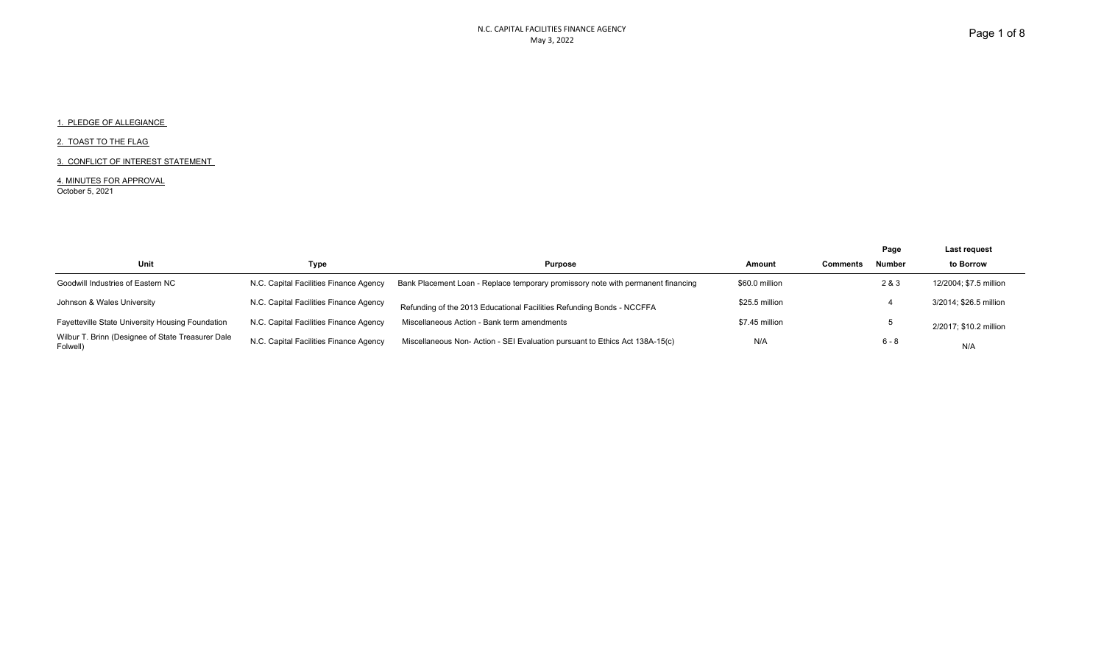### 2. TOAST TO THE FLAG

#### 3. CONFLICT OF INTEREST STATEMENT

4. MINUTES FOR APPROVAL October 5, 2021

|                                                               |                                        |                                                                                  |                | Page                             | Last request           |
|---------------------------------------------------------------|----------------------------------------|----------------------------------------------------------------------------------|----------------|----------------------------------|------------------------|
| Unit                                                          | Type                                   | <b>Purpose</b>                                                                   | Amount         | <b>Number</b><br><b>Comments</b> | to Borrow              |
| Goodwill Industries of Eastern NC                             | N.C. Capital Facilities Finance Agency | Bank Placement Loan - Replace temporary promissory note with permanent financing | \$60.0 million | 2 & 3                            | 12/2004; \$7.5 million |
| Johnson & Wales University                                    | N.C. Capital Facilities Finance Agency | Refunding of the 2013 Educational Facilities Refunding Bonds - NCCFFA            | \$25.5 million |                                  | 3/2014: \$26.5 million |
| Fayetteville State University Housing Foundation              | N.C. Capital Facilities Finance Agency | Miscellaneous Action - Bank term amendments                                      | \$7.45 million |                                  | 2/2017; \$10.2 million |
| Wilbur T. Brinn (Designee of State Treasurer Dale<br>Folwell) | N.C. Capital Facilities Finance Agency | Miscellaneous Non-Action - SEI Evaluation pursuant to Ethics Act 138A-15(c)      | N/A            | $6 - 8$                          | N/A                    |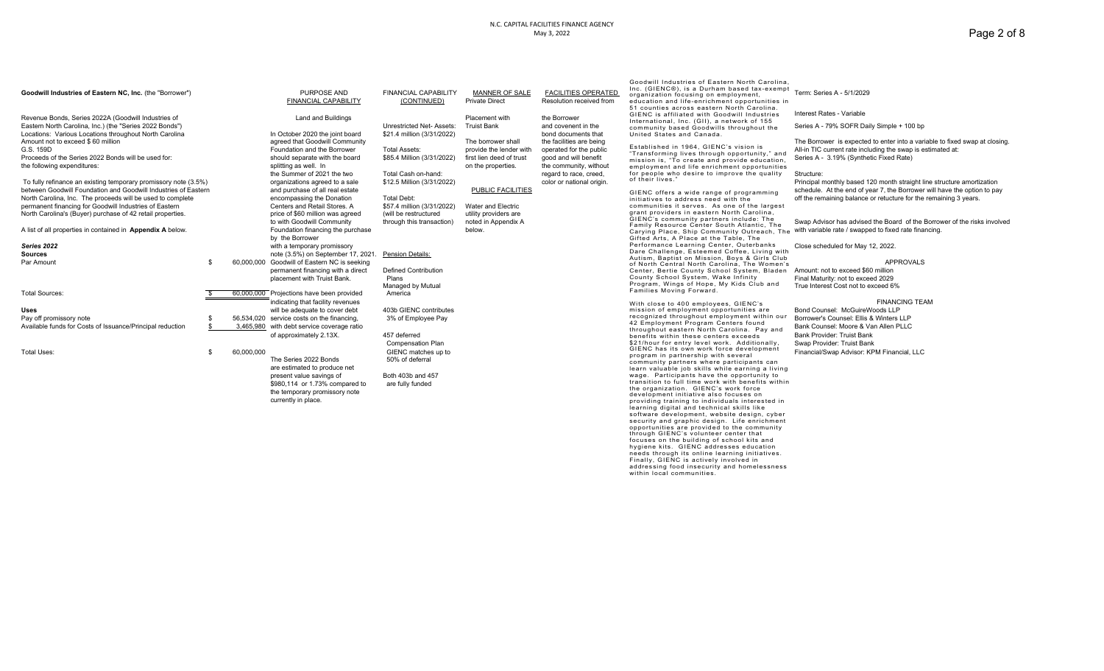### N.C. CAPITAL FACILITIES FINANCE AGENCY May 3, 2022

| Goodwill Industries of Eastern NC, Inc. (the "Borrower")                                                                                                                                                                                                                  |    |            | PURPOSE AND<br>FINANCIAL CAPABILITY                                                                                                                                                                                         | <b>FINANCIAL CAPABILITY</b><br>(CONTINUED)                                                              | MANNER OF SALE<br><b>Private Direct</b>                                                                              | <b>FACILITIES OPERATED</b><br>Resolution received from                                                                                                        | Goodwill Industries of Eastern North Carolina.<br>Inc. (GIENC®), is a Durham based tax-exempt<br>organization focusing on employment,<br>education and life-enrichment opportunities in<br>51 counties across eastern North Carolina.                                                                                                                                                                                                                                                                                                                                                                                                                                                                                                                                                                                                                                                             | Term: Series A - 5/1/2029                                                                                                                                                                                                                                                                                                                                |
|---------------------------------------------------------------------------------------------------------------------------------------------------------------------------------------------------------------------------------------------------------------------------|----|------------|-----------------------------------------------------------------------------------------------------------------------------------------------------------------------------------------------------------------------------|---------------------------------------------------------------------------------------------------------|----------------------------------------------------------------------------------------------------------------------|---------------------------------------------------------------------------------------------------------------------------------------------------------------|---------------------------------------------------------------------------------------------------------------------------------------------------------------------------------------------------------------------------------------------------------------------------------------------------------------------------------------------------------------------------------------------------------------------------------------------------------------------------------------------------------------------------------------------------------------------------------------------------------------------------------------------------------------------------------------------------------------------------------------------------------------------------------------------------------------------------------------------------------------------------------------------------|----------------------------------------------------------------------------------------------------------------------------------------------------------------------------------------------------------------------------------------------------------------------------------------------------------------------------------------------------------|
| Revenue Bonds, Series 2022A (Goodwill Industries of                                                                                                                                                                                                                       |    |            | Land and Buildings                                                                                                                                                                                                          |                                                                                                         | Placement with                                                                                                       | the Borrower                                                                                                                                                  | GIENC is affiliated with Goodwill Industries<br>International, Inc. (GII), a network of 155                                                                                                                                                                                                                                                                                                                                                                                                                                                                                                                                                                                                                                                                                                                                                                                                       | Interest Rates - Variable                                                                                                                                                                                                                                                                                                                                |
| Eastern North Carolina, Inc.) (the "Series 2022 Bonds")<br>Locations: Various Locations throughout North Carolina                                                                                                                                                         |    |            | In October 2020 the joint board                                                                                                                                                                                             | Unrestricted Net- Assets:<br>\$21.4 million (3/31/2022)                                                 | <b>Truist Bank</b>                                                                                                   | and covenent in the<br>bond documents that                                                                                                                    | community based Goodwills throughout the<br>United States and Canada.                                                                                                                                                                                                                                                                                                                                                                                                                                                                                                                                                                                                                                                                                                                                                                                                                             | Series A - 79% SOFR Daily Simple + 100 bp                                                                                                                                                                                                                                                                                                                |
| Amount not to exceed \$60 million<br>G.S. 159D<br>Proceeds of the Series 2022 Bonds will be used for:<br>the following expenditures:<br>To fully refinance an existing temporary promissory note (3.5%)<br>between Goodwill Foundation and Goodwill Industries of Eastern |    |            | agreed that Goodwill Community<br>Foundation and the Borrower<br>should separate with the board<br>splitting as well. In<br>the Summer of 2021 the two<br>organizations agreed to a sale<br>and purchase of all real estate | <b>Total Assets:</b><br>\$85.4 Million (3/31/2022)<br>Total Cash on-hand:<br>\$12.5 Million (3/31/2022) | The borrower shall<br>provide the lender with<br>first lien deed of trust<br>on the properties.<br>PUBLIC FACILITIES | the facilities are being<br>operated for the public<br>good and will benefit<br>the community, without<br>regard to race, creed,<br>color or national origin. | Established in 1964, GIENC's vision is<br>"Transforming lives through opportunity," and<br>mission is, "To create and provide education,<br>employment and life enrichment opportunities<br>for people who desire to improve the quality<br>of their lives."<br>GIENC offers a wide range of programming                                                                                                                                                                                                                                                                                                                                                                                                                                                                                                                                                                                          | The Borrower is expected to enter into a variable to fixed swap at closing<br>All-in TIC current rate including the swap is estimated at:<br>Series A - 3.19% (Synthetic Fixed Rate)<br>Structure:<br>Principal monthly based 120 month straight line structure amortization<br>schedule. At the end of year 7, the Borrower will have the option to pay |
| North Carolina. Inc. The proceeds will be used to complete                                                                                                                                                                                                                |    |            | encompassing the Donation                                                                                                                                                                                                   | Total Debt:                                                                                             |                                                                                                                      |                                                                                                                                                               | initiatives to address need with the                                                                                                                                                                                                                                                                                                                                                                                                                                                                                                                                                                                                                                                                                                                                                                                                                                                              | off the remaining balance or retucture for the remaining 3 years.                                                                                                                                                                                                                                                                                        |
| permanent financing for Goodwill Industries of Eastern<br>North Carolina's (Buyer) purchase of 42 retail properties.                                                                                                                                                      |    |            | Centers and Retail Stores, A<br>price of \$60 million was agreed<br>to with Goodwill Community                                                                                                                              | \$57.4 million (3/31/2022)<br>(will be restructured<br>through this transaction)                        | Water and Electric<br>utility providers are<br>noted in Appendix A                                                   |                                                                                                                                                               | communities it serves. As one of the largest<br>grant providers in eastern North Carolina,<br>GIENC's community partners include: The                                                                                                                                                                                                                                                                                                                                                                                                                                                                                                                                                                                                                                                                                                                                                             | Swap Advisor has advised the Board of the Borrower of the risks involved                                                                                                                                                                                                                                                                                 |
| A list of all properties in contained in <b>Appendix A</b> below.                                                                                                                                                                                                         |    |            | Foundation financing the purchase<br>by the Borrower                                                                                                                                                                        |                                                                                                         | below.                                                                                                               |                                                                                                                                                               | Family Resource Center South Atlantic, The<br>Carying Place, Ship Community Outreach, The with variable rate / swapped to fixed rate financing.<br>Gifted Arts, A Place at the Table, The                                                                                                                                                                                                                                                                                                                                                                                                                                                                                                                                                                                                                                                                                                         |                                                                                                                                                                                                                                                                                                                                                          |
| Series 2022                                                                                                                                                                                                                                                               |    |            | with a temporary promissory                                                                                                                                                                                                 |                                                                                                         |                                                                                                                      |                                                                                                                                                               | Performance Learning Center, Outerbanks<br>Dare Challenge, Esteemed Coffee, Living with                                                                                                                                                                                                                                                                                                                                                                                                                                                                                                                                                                                                                                                                                                                                                                                                           | Close scheduled for May 12, 2022.                                                                                                                                                                                                                                                                                                                        |
| <b>Sources</b>                                                                                                                                                                                                                                                            |    |            | note (3.5%) on September 17, 2021.                                                                                                                                                                                          | <b>Pension Details:</b>                                                                                 |                                                                                                                      |                                                                                                                                                               | Autism, Baptist on Mission, Boys & Girls Club                                                                                                                                                                                                                                                                                                                                                                                                                                                                                                                                                                                                                                                                                                                                                                                                                                                     |                                                                                                                                                                                                                                                                                                                                                          |
| Par Amount                                                                                                                                                                                                                                                                | £. |            | 60,000,000 Goodwill of Eastern NC is seeking                                                                                                                                                                                |                                                                                                         |                                                                                                                      |                                                                                                                                                               | of North Central North Carolina, The Women's                                                                                                                                                                                                                                                                                                                                                                                                                                                                                                                                                                                                                                                                                                                                                                                                                                                      | <b>APPROVALS</b>                                                                                                                                                                                                                                                                                                                                         |
|                                                                                                                                                                                                                                                                           |    |            | permanent financing with a direct                                                                                                                                                                                           | <b>Defined Contribution</b>                                                                             |                                                                                                                      |                                                                                                                                                               | Center, Bertie County School System, Bladen Amount: not to exceed \$60 million                                                                                                                                                                                                                                                                                                                                                                                                                                                                                                                                                                                                                                                                                                                                                                                                                    |                                                                                                                                                                                                                                                                                                                                                          |
|                                                                                                                                                                                                                                                                           |    |            | placement with Truist Bank.                                                                                                                                                                                                 | Plans                                                                                                   |                                                                                                                      |                                                                                                                                                               | County School System, Wake Infinity<br>Program, Wings of Hope, My Kids Club and                                                                                                                                                                                                                                                                                                                                                                                                                                                                                                                                                                                                                                                                                                                                                                                                                   | Final Maturity: not to exceed 2029                                                                                                                                                                                                                                                                                                                       |
| <b>Total Sources:</b>                                                                                                                                                                                                                                                     |    |            | 60,000,000 Projections have been provided                                                                                                                                                                                   | Managed by Mutual<br>America                                                                            |                                                                                                                      |                                                                                                                                                               | Families Moving Forward.                                                                                                                                                                                                                                                                                                                                                                                                                                                                                                                                                                                                                                                                                                                                                                                                                                                                          | True Interest Cost not to exceed 6%                                                                                                                                                                                                                                                                                                                      |
|                                                                                                                                                                                                                                                                           |    |            | indicating that facility revenues                                                                                                                                                                                           |                                                                                                         |                                                                                                                      |                                                                                                                                                               | With close to 400 employees, GIENC's                                                                                                                                                                                                                                                                                                                                                                                                                                                                                                                                                                                                                                                                                                                                                                                                                                                              | <b>FINANCING TEAM</b>                                                                                                                                                                                                                                                                                                                                    |
| Uses                                                                                                                                                                                                                                                                      |    |            | will be adequate to cover debt                                                                                                                                                                                              | 403b GIENC contributes                                                                                  |                                                                                                                      |                                                                                                                                                               | mission of employment opportunities are                                                                                                                                                                                                                                                                                                                                                                                                                                                                                                                                                                                                                                                                                                                                                                                                                                                           | Bond Counsel: McGuireWoods LLP                                                                                                                                                                                                                                                                                                                           |
| Pay off promissory note                                                                                                                                                                                                                                                   |    |            | 56,534,020 service costs on the financing,                                                                                                                                                                                  | 3% of Employee Pay                                                                                      |                                                                                                                      |                                                                                                                                                               | recognized throughout employment within our                                                                                                                                                                                                                                                                                                                                                                                                                                                                                                                                                                                                                                                                                                                                                                                                                                                       | Borrower's Counsel: Ellis & Winters LLP                                                                                                                                                                                                                                                                                                                  |
| Available funds for Costs of Issuance/Principal reduction                                                                                                                                                                                                                 |    |            | 3,465,980 with debt service coverage ratio                                                                                                                                                                                  |                                                                                                         |                                                                                                                      |                                                                                                                                                               | 42 Employment Program Centers found                                                                                                                                                                                                                                                                                                                                                                                                                                                                                                                                                                                                                                                                                                                                                                                                                                                               | Bank Counsel: Moore & Van Allen PLLC                                                                                                                                                                                                                                                                                                                     |
|                                                                                                                                                                                                                                                                           |    |            | of approximately 2.13X.                                                                                                                                                                                                     | 457 deferred                                                                                            |                                                                                                                      |                                                                                                                                                               | throughout eastern North Carolina. Pay and                                                                                                                                                                                                                                                                                                                                                                                                                                                                                                                                                                                                                                                                                                                                                                                                                                                        | Bank Provider: Truist Bank                                                                                                                                                                                                                                                                                                                               |
|                                                                                                                                                                                                                                                                           |    |            |                                                                                                                                                                                                                             |                                                                                                         |                                                                                                                      |                                                                                                                                                               | benefits within these centers exceeds<br>\$21/hour for entry level work. Additionally,                                                                                                                                                                                                                                                                                                                                                                                                                                                                                                                                                                                                                                                                                                                                                                                                            |                                                                                                                                                                                                                                                                                                                                                          |
| Total Uses:                                                                                                                                                                                                                                                               | \$ | 60,000,000 | The Series 2022 Bonds<br>are estimated to produce net<br>present value savings of<br>\$980,114 or 1.73% compared to<br>the temporary promissory note<br>currently in place.                                                 | Compensation Plan<br>GIENC matches up to<br>50% of deferral<br>Both 403b and 457<br>are fully funded    |                                                                                                                      |                                                                                                                                                               | GIENC has its own work force development<br>program in partnership with several<br>community partners where participants can<br>learn valuable job skills while earning a living<br>wage. Participants have the opportunity to<br>transition to full time work with benefits within<br>the organization. GIENC's work force<br>development initiative also focuses on<br>providing training to individuals interested in<br>learning digital and technical skills like<br>software development, website design, cyber<br>security and graphic design. Life enrichment<br>opportunities are provided to the community<br>through GIENC's volunteer center that<br>focuses on the building of school kits and<br>hygiene kits. GIENC addresses education<br>needs through its online learning initiatives.<br>Finally, GIENC is actively involved in<br>addressing food insecurity and homelessness | Swap Provider: Truist Bank<br>Financial/Swap Advisor: KPM Financial, LLC                                                                                                                                                                                                                                                                                 |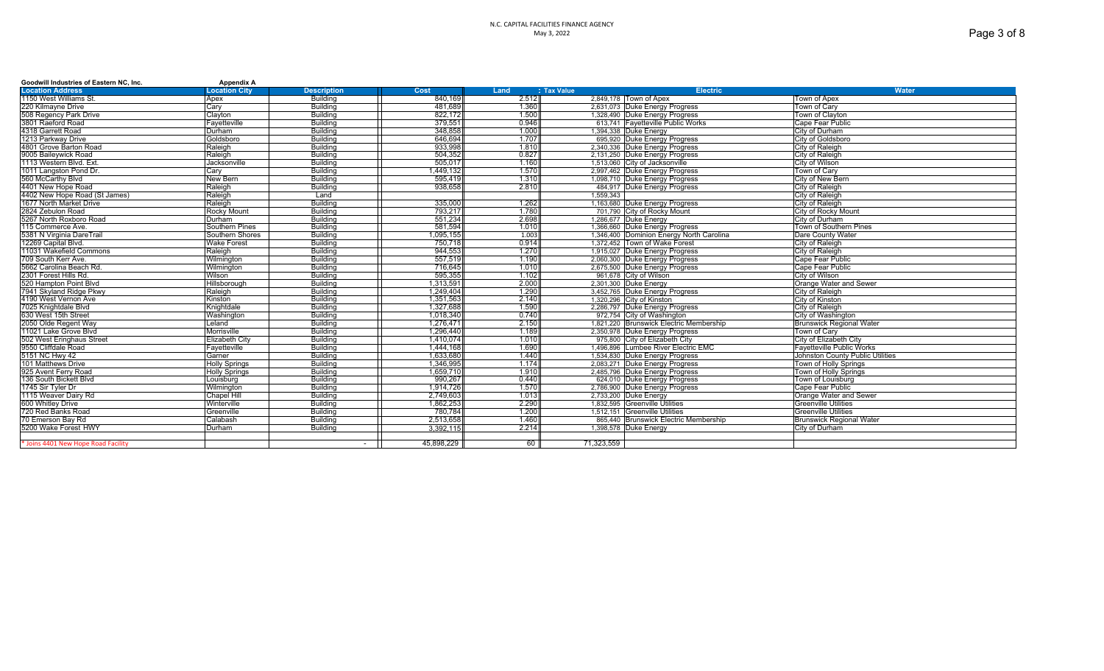### N.C. CAPITAL FACILITIES FINANCE AGENCY May 3, 2022

| Goodwill Industries of Eastern NC, Inc. | <b>Appendix A</b>     |                    |            |       |                    |                                          |                                  |
|-----------------------------------------|-----------------------|--------------------|------------|-------|--------------------|------------------------------------------|----------------------------------|
| <b>Location Address</b>                 | <b>Location City</b>  | <b>Description</b> | Cost       | Land  | <b>J Tax Value</b> | <b>Electric</b>                          | <b>Water</b>                     |
| 1150 West Williams St.                  | Apex                  | Building           | 840.169    | 2.512 |                    | 2,849,178 Town of Apex                   | Town of Apex                     |
| 220 Kilmayne Drive                      | Carv                  | Building           | 481.689    | 1.360 |                    | 2.631.073 Duke Energy Progress           | Town of Carv                     |
| 508 Regency Park Drive                  | Clavton               | Building           | 822.172    | 1.500 |                    | 1,328,490 Duke Energy Progress           | Town of Clayton                  |
| 3801 Raeford Road                       | Favetteville          | Building           | 379.551    | 0.946 |                    | 613.741 Favetteville Public Works        | Cape Fear Public                 |
| 4318 Garrett Road                       | Durham                | Building           | 348.858    | 1.000 |                    | 1.394.338 Duke Energy                    | City of Durham                   |
| 1213 Parkway Drive                      | Goldsboro             | Building           | 646.694    | 1.707 |                    | 695.920 Duke Energy Progress             | City of Goldsboro                |
| 4801 Grove Barton Road                  | Raleigh               | Building           | 933.998    | 1.810 |                    | 2.340.336 Duke Energy Progress           | City of Raleigh                  |
| 9005 Baileywick Road                    | Raleigh               | Building           | 504.352    | 0.827 |                    | 2,131,250 Duke Energy Progress           | City of Raleigh                  |
| 1113 Western Blvd, Ext.                 | Jacksonville          | Building           | 505.017    | 1.160 |                    | 1.513.060 City of Jacksonville           | City of Wilson                   |
| 1011 Langston Pond Dr.                  | Cary                  | Building           | 1.449.132  | 1.570 |                    | 2.997.462 Duke Energy Progress           | Town of Carv                     |
| 560 McCarthy Blvd                       | New Bern              | Building           | 595.419    | 1.310 |                    | 1,098,710 Duke Energy Progress           | City of New Bern                 |
| 4401 New Hope Road                      | Raleigh               | <b>Building</b>    | 938.658    | 2.810 |                    | 484,917 Duke Energy Progress             | City of Raleigh                  |
| 4402 New Hope Road (St James)           | Raleigh               | Land               |            |       | 1.559.343          |                                          | City of Raleigh                  |
| 1677 North Market Drive                 | Raleigh               | Buildina           | 335,000    | 1.262 |                    | 1,163,680 Duke Energy Progress           | City of Raleigh                  |
| 2824 Zebulon Road                       | <b>Rocky Mount</b>    | Building           | 793.217    | 1.780 |                    | 701,790 City of Rocky Mount              | City of Rocky Mount              |
| 5267 North Roxboro Road                 | Durham                | Building           | 551.234    | 2.698 |                    | 1.286.677 Duke Energy                    | City of Durham                   |
| 115 Commerce Ave.                       | Southern Pines        | Building           | 581.594    | 1.010 |                    | 1.366.660 Duke Energy Progress           | Town of Southern Pines           |
| 5381 N Virginia DareTrail               | Southern Shores       | Building           | 1,095,155  | 1.003 |                    | 1,346,400 Dominion Energy North Carolina | Dare County Water                |
| 12269 Capital Blyd                      | <b>Wake Forest</b>    | Building           | 750.718    | 0.914 |                    | 1.372.452 Town of Wake Forest            | City of Raleigh                  |
| 11031 Wakefield Commons                 | Raleigh               | Building           | 944.553    | 1.270 |                    | 1.915.027 Duke Energy Progress           | City of Raleigh                  |
| 709 South Kerr Ave.                     | Wilminaton            | <b>Building</b>    | 557,519    | 1.190 |                    | 2,060,300 Duke Energy Progress           | Cape Fear Public                 |
| 5662 Carolina Beach Rd.                 | Wilmington            | Building           | 716.645    | 1.010 |                    | 2,675,500 Duke Energy Progress           | Cape Fear Public                 |
| 2301 Forest Hills Rd.                   | Wilson                | Building           | 595.355    | 1.102 |                    | 961,678 City of Wilson                   | City of Wilson                   |
| 520 Hampton Point Blyd                  | Hillsborough          | Building           | 1.313.591  | 2.000 |                    | 2.301.300 Duke Energy                    | Orange Water and Sewer           |
| 7941 Skyland Ridge Pkwy                 | Raleigh               | Building           | 1.249.404  | 1.290 |                    | 3,452,765 Duke Energy Progress           | City of Raleigh                  |
| 4190 West Vernon Ave                    | Kinston               | Building           | 1.351.563  | 2.140 |                    | 1.320.296 City of Kinston                | City of Kinston                  |
| 7025 Knightdale Blvd                    | Knightdale            | Building           | 1,327,688  | 1.590 |                    | 2,286,797 Duke Energy Progress           | City of Raleigh                  |
| 630 West 15th Street                    | Washington            | Building           | 1.018.340  | 0.740 |                    | 972.754 City of Washington               | City of Washington               |
| 2050 Olde Regent Way                    | Leland                | <b>Building</b>    | 1.276.471  | 2.150 |                    | 1,821,220 Brunswick Electric Membership  | <b>Brunswick Regional Water</b>  |
| 11021 Lake Grove Blvd                   | Morrisville           | Building           | 1.296.440  | 1.189 |                    | 2,350,978 Duke Energy Progress           | Town of Carv                     |
| 502 West Eringhaus Street               | <b>Elizabeth City</b> | Building           | 1.410.074  | 1.010 |                    | 975,800 City of Elizabeth City           | City of Elizabeth City           |
| 9550 Cliffdale Road                     | Fayetteville          | Building           | 1.444.168  | 1.690 |                    | 1.496.896 Lumbee River Electric EMC      | <b>Favetteville Public Works</b> |
| 5151 NC Hwy 42                          | Garner                | Building           | 1.633.680  | 1.440 |                    | 1,534,830 Duke Energy Progress           | Johnston County Public Utilities |
| 101 Matthews Drive                      | <b>Holly Springs</b>  | Building           | 1.346.995  | 1.174 |                    | 2.083.271 Duke Energy Progress           | Town of Holly Springs            |
| 925 Avent Ferry Road                    | <b>Holly Springs</b>  | <b>Building</b>    | 1,659,710  | 1.910 |                    | 2,485,796 Duke Energy Progress           | <b>Town of Holly Springs</b>     |
| 136 South Bickett Blvd                  | Louisburg             | Building           | 990.267    | 0.440 |                    | 624,010 Duke Energy Progress             | Town of Louisburg                |
| 1745 Sir Tyler Dr                       | Wilmington            | Building           | 1.914.726  | 1.570 |                    | 2,786,900 Duke Energy Progress           | Cape Fear Public                 |
| 1115 Weaver Dairy Rd                    | <b>Chapel Hill</b>    | Building           | 2,749,603  | 1.013 |                    | 2,733,200 Duke Energy                    | Orange Water and Sewer           |
| 600 Whitlev Drive                       | Winterville           | Building           | 1.862.253  | 2.290 |                    | 1.832.595 Greenville Utilities           | <b>IGreenville Utilities</b>     |
| 720 Red Banks Road                      | Greenville            | Building           | 780.784    | 1.200 |                    | 1.512.151 Greenville Utilities           | Greenville Utilities             |
| 70 Emerson Bay Rd                       | Calabash              | Building           | 2.513.658  | 1.460 |                    | 865,440 Brunswick Electric Membership    | Brunswick Regional Water         |
| 5200 Wake Forest HWY                    | Durham                | <b>Building</b>    | 3.392.115  | 2.214 |                    | 1,398,578 Duke Energy                    | City of Durham                   |
|                                         |                       |                    |            |       |                    |                                          |                                  |
| * Joins 4401 New Hope Road Facility     |                       |                    | 45.898.229 | 60 I  | 71.323.559         |                                          |                                  |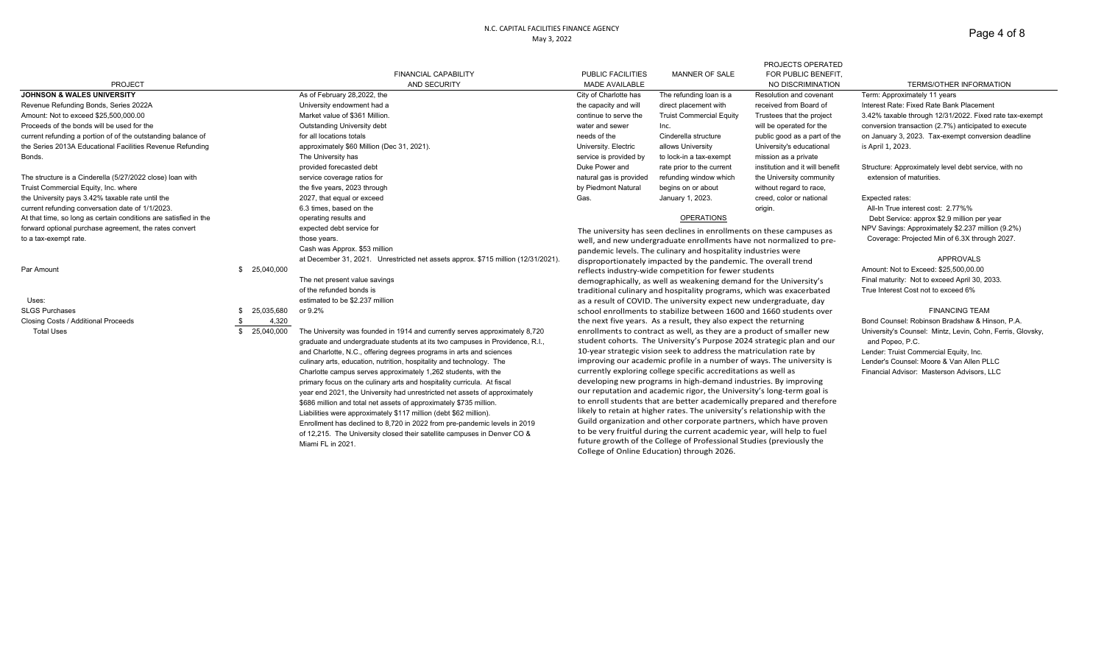### N.C. CAPITAL FACILITIES FINANCE AGENCY May 3, 2022

| Page 4 of 8 |  |  |
|-------------|--|--|
|-------------|--|--|

|                                                                  |              |                                                                                   |                                                                                                                                                                                                                                                                                                                                                                  |                                                                                                                                                 | PROJECTS OPERATED               |                                                            |
|------------------------------------------------------------------|--------------|-----------------------------------------------------------------------------------|------------------------------------------------------------------------------------------------------------------------------------------------------------------------------------------------------------------------------------------------------------------------------------------------------------------------------------------------------------------|-------------------------------------------------------------------------------------------------------------------------------------------------|---------------------------------|------------------------------------------------------------|
|                                                                  |              | <b>FINANCIAL CAPABILITY</b>                                                       | <b>PUBLIC FACILITIES</b>                                                                                                                                                                                                                                                                                                                                         | <b>MANNER OF SALE</b>                                                                                                                           | FOR PUBLIC BENEFIT.             |                                                            |
| <b>PROJECT</b>                                                   |              | AND SECURITY                                                                      | MADE AVAILABLE                                                                                                                                                                                                                                                                                                                                                   |                                                                                                                                                 | NO DISCRIMINATION               | TERMS/OTHER INFORMATION                                    |
| <b>JOHNSON &amp; WALES UNIVERSITY</b>                            |              | As of February 28,2022, the                                                       | City of Charlotte has                                                                                                                                                                                                                                                                                                                                            | The refunding loan is a                                                                                                                         | Resolution and covenant         | Term: Approximately 11 years                               |
| Revenue Refunding Bonds, Series 2022A                            |              | University endowment had a                                                        | the capacity and will                                                                                                                                                                                                                                                                                                                                            | direct placement with                                                                                                                           | received from Board of          | Interest Rate: Fixed Rate Bank Placement                   |
| Amount: Not to exceed \$25,500,000,00                            |              | Market value of \$361 Million.                                                    | continue to serve the                                                                                                                                                                                                                                                                                                                                            | <b>Truist Commercial Equity</b>                                                                                                                 | Trustees that the project       | 3.42% taxable through 12/31/2022. Fixed rate tax-exempt    |
| Proceeds of the bonds will be used for the                       |              | Outstanding University debt                                                       | water and sewer                                                                                                                                                                                                                                                                                                                                                  | Inc.                                                                                                                                            | will be operated for the        | conversion transaction (2.7%) anticipated to execute       |
| current refunding a portion of of the outstanding balance of     |              | for all locations totals                                                          | needs of the                                                                                                                                                                                                                                                                                                                                                     | Cinderella structure                                                                                                                            | public good as a part of the    | on January 3, 2023. Tax-exempt conversion deadline         |
| the Series 2013A Educational Facilities Revenue Refunding        |              | approximately \$60 Million (Dec 31, 2021).                                        | University. Electric                                                                                                                                                                                                                                                                                                                                             | allows University                                                                                                                               | University's educational        | is April 1, 2023.                                          |
| Bonds.                                                           |              | The University has                                                                | service is provided by                                                                                                                                                                                                                                                                                                                                           | to lock-in a tax-exempt                                                                                                                         | mission as a private            |                                                            |
|                                                                  |              | provided forecasted debt                                                          | Duke Power and                                                                                                                                                                                                                                                                                                                                                   | rate prior to the current                                                                                                                       | institution and it will benefit | Structure: Approximately level debt service, with no       |
| The structure is a Cinderella (5/27/2022 close) loan with        |              | service coverage ratios for                                                       | natural gas is provided                                                                                                                                                                                                                                                                                                                                          | refunding window which                                                                                                                          | the University community        | extension of maturities.                                   |
| Truist Commercial Equity, Inc. where                             |              | the five years, 2023 through                                                      | by Piedmont Natural                                                                                                                                                                                                                                                                                                                                              | begins on or about                                                                                                                              | without regard to race,         |                                                            |
| the University pays 3.42% taxable rate until the                 |              | 2027, that equal or exceed                                                        | Gas.                                                                                                                                                                                                                                                                                                                                                             | January 1, 2023.                                                                                                                                | creed, color or national        | Expected rates:                                            |
| current refunding conversation date of 1/1/2023.                 |              | 6.3 times, based on the                                                           |                                                                                                                                                                                                                                                                                                                                                                  |                                                                                                                                                 | origin.                         | All-In True interest cost: 2.77%%                          |
| At that time, so long as certain conditions are satisfied in the |              | operating results and                                                             |                                                                                                                                                                                                                                                                                                                                                                  | <b>OPERATIONS</b>                                                                                                                               |                                 | Debt Service: approx \$2.9 million per year                |
| forward optional purchase agreement, the rates convert           |              | expected debt service for                                                         | The university has seen declines in enrollments on these campuses as                                                                                                                                                                                                                                                                                             |                                                                                                                                                 |                                 | NPV Savings: Approximately \$2.237 million (9.2%)          |
| to a tax-exempt rate.                                            |              | those years.                                                                      | well, and new undergraduate enrollments have not normalized to pre-                                                                                                                                                                                                                                                                                              |                                                                                                                                                 |                                 | Coverage: Projected Min of 6.3X through 2027.              |
|                                                                  |              | Cash was Approx. \$53 million                                                     |                                                                                                                                                                                                                                                                                                                                                                  | pandemic levels. The culinary and hospitality industries were                                                                                   |                                 |                                                            |
|                                                                  |              | at December 31, 2021. Unrestricted net assets approx. \$715 million (12/31/2021). |                                                                                                                                                                                                                                                                                                                                                                  | disproportionately impacted by the pandemic. The overall trend                                                                                  |                                 | <b>APPROVALS</b>                                           |
| Par Amount                                                       | \$25,040,000 |                                                                                   |                                                                                                                                                                                                                                                                                                                                                                  | reflects industry-wide competition for fewer students                                                                                           |                                 | Amount: Not to Exceed: \$25,500,00.00                      |
|                                                                  |              | The net present value savings                                                     |                                                                                                                                                                                                                                                                                                                                                                  | demographically, as well as weakening demand for the University's                                                                               |                                 | Final maturity: Not to exceed April 30, 2033.              |
|                                                                  |              | of the refunded bonds is                                                          |                                                                                                                                                                                                                                                                                                                                                                  | traditional culinary and hospitality programs, which was exacerbated                                                                            |                                 | True Interest Cost not to exceed 6%                        |
| Uses:                                                            |              | estimated to be \$2.237 million                                                   |                                                                                                                                                                                                                                                                                                                                                                  | as a result of COVID. The university expect new undergraduate, day                                                                              |                                 |                                                            |
| <b>SLGS Purchases</b>                                            | 25,035,680   | or 9.2%                                                                           |                                                                                                                                                                                                                                                                                                                                                                  | school enrollments to stabilize between 1600 and 1660 students over                                                                             |                                 | <b>FINANCING TEAM</b>                                      |
| Closing Costs / Additional Proceeds                              | 4,320        |                                                                                   |                                                                                                                                                                                                                                                                                                                                                                  | the next five years. As a result, they also expect the returning                                                                                |                                 | Bond Counsel: Robinson Bradshaw & Hinson, P.A.             |
| <b>Total Uses</b>                                                | \$25,040,000 | The University was founded in 1914 and currently serves approximately 8,720       |                                                                                                                                                                                                                                                                                                                                                                  | enrollments to contract as well, as they are a product of smaller new                                                                           |                                 | University's Counsel: Mintz, Levin, Cohn, Ferris, Glovsky, |
|                                                                  |              | graduate and undergraduate students at its two campuses in Providence, R.I.,      | student cohorts. The University's Purpose 2024 strategic plan and our                                                                                                                                                                                                                                                                                            |                                                                                                                                                 |                                 | and Popeo, P.C.                                            |
|                                                                  |              | and Charlotte, N.C., offering degrees programs in arts and sciences               | 10-year strategic vision seek to address the matriculation rate by                                                                                                                                                                                                                                                                                               |                                                                                                                                                 |                                 | Lender: Truist Commercial Equity, Inc.                     |
|                                                                  |              | culinary arts, education, nutrition, hospitality and technology. The              | improving our academic profile in a number of ways. The university is                                                                                                                                                                                                                                                                                            |                                                                                                                                                 |                                 | Lender's Counsel: Moore & Van Allen PLLC                   |
|                                                                  |              | Charlotte campus serves approximately 1,262 students, with the                    | currently exploring college specific accreditations as well as<br>developing new programs in high-demand industries. By improving<br>our reputation and academic rigor, the University's long-term goal is<br>to enroll students that are better academically prepared and therefore<br>likely to retain at higher rates. The university's relationship with the |                                                                                                                                                 |                                 | Financial Advisor: Masterson Advisors, LLC                 |
|                                                                  |              | primary focus on the culinary arts and hospitality curricula. At fiscal           |                                                                                                                                                                                                                                                                                                                                                                  |                                                                                                                                                 |                                 |                                                            |
|                                                                  |              | year end 2021, the University had unrestricted net assets of approximately        |                                                                                                                                                                                                                                                                                                                                                                  |                                                                                                                                                 |                                 |                                                            |
|                                                                  |              | \$686 million and total net assets of approximately \$735 million.                |                                                                                                                                                                                                                                                                                                                                                                  |                                                                                                                                                 |                                 |                                                            |
|                                                                  |              | Liabilities were approximately \$117 million (debt \$62 million).                 |                                                                                                                                                                                                                                                                                                                                                                  | Guild organization and other corporate partners, which have proven                                                                              |                                 |                                                            |
|                                                                  |              | Enrollment has declined to 8,720 in 2022 from pre-pandemic levels in 2019         |                                                                                                                                                                                                                                                                                                                                                                  |                                                                                                                                                 |                                 |                                                            |
|                                                                  |              | of 12,215. The University closed their satellite campuses in Denver CO &          |                                                                                                                                                                                                                                                                                                                                                                  | to be very fruitful during the current academic year, will help to fuel<br>future growth of the College of Professional Studies (previously the |                                 |                                                            |
|                                                                  |              | Miami FL in 2021                                                                  |                                                                                                                                                                                                                                                                                                                                                                  |                                                                                                                                                 |                                 |                                                            |
|                                                                  |              |                                                                                   |                                                                                                                                                                                                                                                                                                                                                                  | College of Online Education) through 2026.                                                                                                      |                                 |                                                            |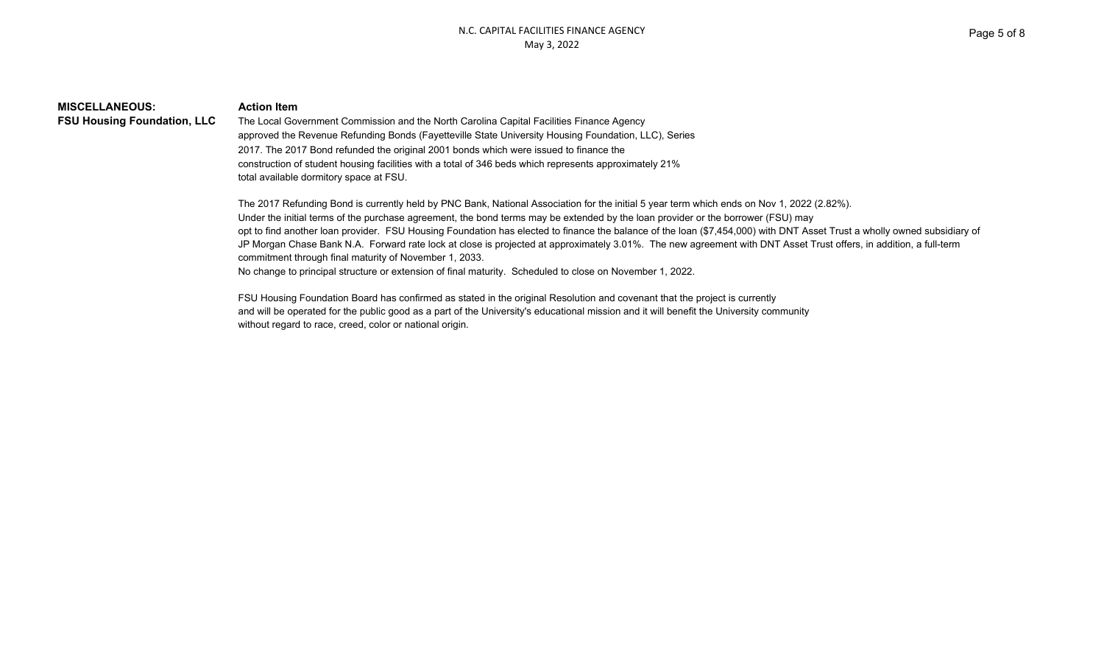| <b>MISCELLANEOUS:</b>             |  |
|-----------------------------------|--|
| <b>FSU Housing Foundation, LI</b> |  |

### **Action Item**

**FILC** The Local Government Commission and the North Carolina Capital Facilities Finance Agency approved the Revenue Refunding Bonds (Fayetteville State University Housing Foundation, LLC), Series 2017. The 2017 Bond refunded the original 2001 bonds which were issued to finance the construction of student housing facilities with a total of 346 beds which represents approximately 21% total available dormitory space at FSU.

The 2017 Refunding Bond is currently held by PNC Bank, National Association for the initial 5 year term which ends on Nov 1, 2022 (2.82%). Under the initial terms of the purchase agreement, the bond terms may be extended by the loan provider or the borrower (FSU) may opt to find another loan provider. FSU Housing Foundation has elected to finance the balance of the loan (\$7,454,000) with DNT Asset Trust a wholly owned subsidiary of JP Morgan Chase Bank N.A. Forward rate lock at close is projected at approximately 3.01%. The new agreement with DNT Asset Trust offers, in addition, a full-term commitment through final maturity of November 1, 2033. No change to principal structure or extension of final maturity. Scheduled to close on November 1, 2022.

FSU Housing Foundation Board has confirmed as stated in the original Resolution and covenant that the project is currently and will be operated for the public good as a part of the University's educational mission and it will benefit the University community without regard to race, creed, color or national origin.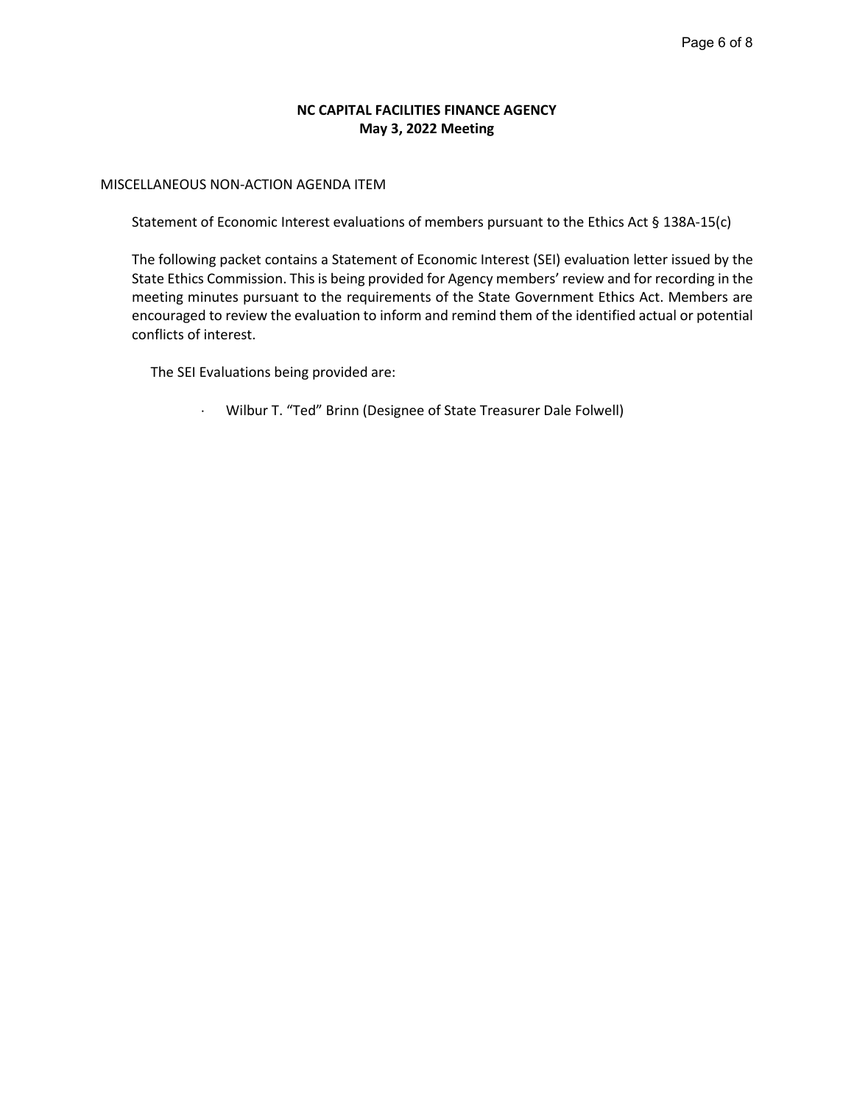## **NC CAPITAL FACILITIES FINANCE AGENCY May 3, 2022 Meeting**

## MISCELLANEOUS NON-ACTION AGENDA ITEM

Statement of Economic Interest evaluations of members pursuant to the Ethics Act § 138A-15(c)

The following packet contains a Statement of Economic Interest (SEI) evaluation letter issued by the State Ethics Commission. This is being provided for Agency members' review and for recording in the meeting minutes pursuant to the requirements of the State Government Ethics Act. Members are encouraged to review the evaluation to inform and remind them of the identified actual or potential conflicts of interest.

The SEI Evaluations being provided are:

Wilbur T. "Ted" Brinn (Designee of State Treasurer Dale Folwell)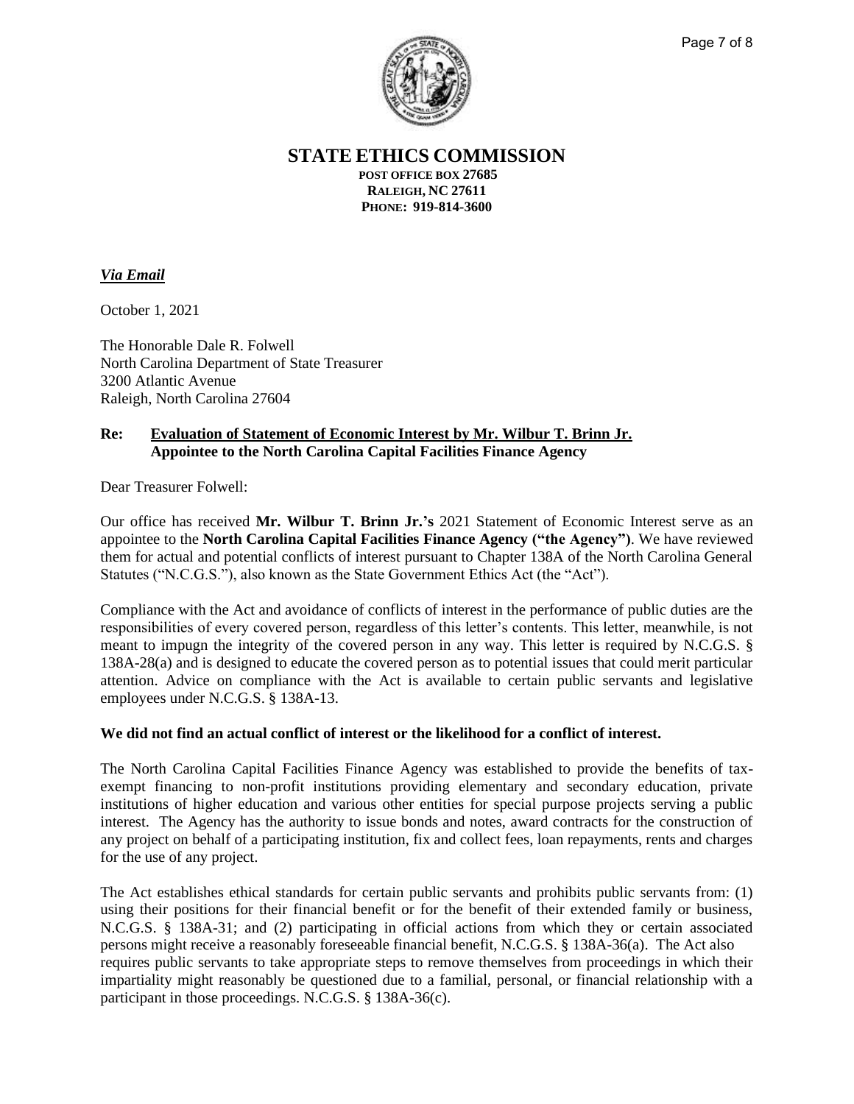

Page 7 of 8

**STATE ETHICS COMMISSION**

**POST OFFICE BOX 27685 RALEIGH, NC 27611 PHONE: 919-814-3600**

# *Via Email*

October 1, 2021

The Honorable Dale R. Folwell North Carolina Department of State Treasurer 3200 Atlantic Avenue Raleigh, North Carolina 27604

# **Re: Evaluation of Statement of Economic Interest by Mr. Wilbur T. Brinn Jr. Appointee to the North Carolina Capital Facilities Finance Agency**

Dear Treasurer Folwell:

Our office has received **Mr. Wilbur T. Brinn Jr.'s** 2021 Statement of Economic Interest serve as an appointee to the **North Carolina Capital Facilities Finance Agency ("the Agency")**. We have reviewed them for actual and potential conflicts of interest pursuant to Chapter 138A of the North Carolina General Statutes ("N.C.G.S."), also known as the State Government Ethics Act (the "Act").

Compliance with the Act and avoidance of conflicts of interest in the performance of public duties are the responsibilities of every covered person, regardless of this letter's contents. This letter, meanwhile, is not meant to impugn the integrity of the covered person in any way. This letter is required by N.C.G.S. § 138A-28(a) and is designed to educate the covered person as to potential issues that could merit particular attention. Advice on compliance with the Act is available to certain public servants and legislative employees under N.C.G.S. § 138A-13.

# **We did not find an actual conflict of interest or the likelihood for a conflict of interest.**

The North Carolina Capital Facilities Finance Agency was established to provide the benefits of taxexempt financing to non-profit institutions providing elementary and secondary education, private institutions of higher education and various other entities for special purpose projects serving a public interest. The Agency has the authority to issue bonds and notes, award contracts for the construction of any project on behalf of a participating institution, fix and collect fees, loan repayments, rents and charges for the use of any project.

The Act establishes ethical standards for certain public servants and prohibits public servants from: (1) using their positions for their financial benefit or for the benefit of their extended family or business, N.C.G.S. § 138A-31; and (2) participating in official actions from which they or certain associated persons might receive a reasonably foreseeable financial benefit, N.C.G.S. § 138A-36(a). The Act also requires public servants to take appropriate steps to remove themselves from proceedings in which their impartiality might reasonably be questioned due to a familial, personal, or financial relationship with a participant in those proceedings. N.C.G.S. § 138A-36(c).